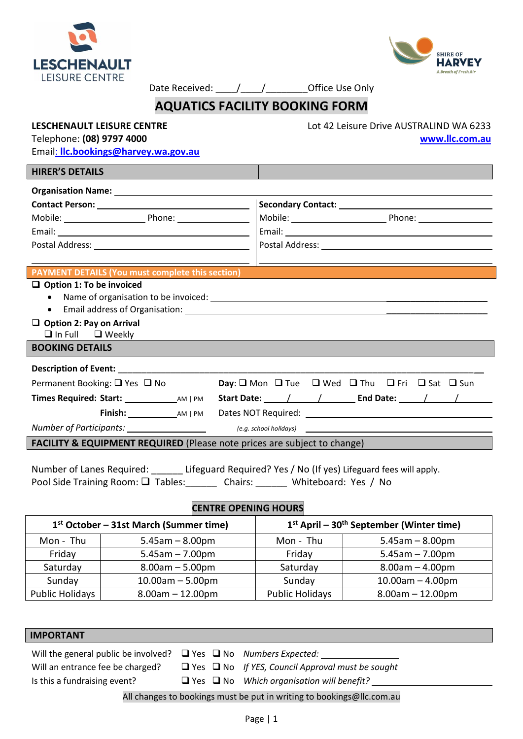



Date Received:  $\frac{1}{2}$  /  $\frac{1}{2}$  Office Use Only

### **AQUATICS FACILITY BOOKING FORM**

**LESCHENAULT LEISURE CENTRE** Lot 42 Leisure Drive AUSTRALIND WA 6233 Telephone: **(08) 9797 4000 [www.llc.com.au](http://www.llc.com.au/)**

Email: **[llc.bookings@harvey.wa.gov.au](mailto:llc.bookings@harvey.wa.gov.au)**

### **HIRER'S DETAILS Organisation Name: Contact Person:** Secondary Contact: Mobile: Phone: Mobile: Phone: Email: Email: Postal Address: Postal Address: **PAYMENT DETAILS (You must complete this section) Option 1: To be invoiced**  • Name of organisation to be invoiced:  $\blacksquare$ • Email address of Organisation: **Example 2018 Option 2: Pay on Arrival**  $\Box$  In Full  $\Box$  Weekly **BOOKING DETAILS Description of Event:** Permanent Booking:  $\Box$  Yes  $\Box$  No **Day**:  $\Box$  Mon  $\Box$  Tue  $\Box$  Wed  $\Box$  Thu  $\Box$  Fri  $\Box$  Sat  $\Box$  Sun **Times Required: Start:** AM | PM **Start Date:** / / **End Date:** / / **Finish:** AM | PM Dates NOT Required: *Number of Participants: (e.g. school holidays)*

**FACILITY & EQUIPMENT REQUIRED** (Please note prices are subject to change)

Number of Lanes Required: Lifeguard Required? Yes / No (If yes) Lifeguard fees will apply. Pool Side Training Room:  $\square$  Tables: Chairs: Whiteboard: Yes / No

#### **CENTRE OPENING HOURS**

| 1 <sup>st</sup> October – 31st March (Summer time) |                       | $1st$ April – 30 <sup>th</sup> September (Winter time) |                       |
|----------------------------------------------------|-----------------------|--------------------------------------------------------|-----------------------|
| Mon - Thu                                          | $5.45$ am $- 8.00$ pm | Mon - Thu                                              | $5.45$ am $- 8.00$ pm |
| Friday                                             | $5.45$ am $- 7.00$ pm | Friday                                                 | $5.45$ am $- 7.00$ pm |
| Saturday                                           | $8.00am - 5.00pm$     | Saturday                                               | $8.00am - 4.00pm$     |
| Sunday                                             | $10.00am - 5.00pm$    | Sunday                                                 | $10.00am - 4.00pm$    |
| <b>Public Holidays</b>                             | $8.00am - 12.00pm$    | <b>Public Holidays</b>                                 | $8.00am - 12.00pm$    |

| <b>IMPORTANT</b>                                                                   |  |                                                              |  |  |  |
|------------------------------------------------------------------------------------|--|--------------------------------------------------------------|--|--|--|
| Will the general public be involved? $\Box$ Yes $\Box$ No <i>Numbers Expected:</i> |  |                                                              |  |  |  |
| Will an entrance fee be charged?                                                   |  | $\Box$ Yes $\Box$ No If YES, Council Approval must be sought |  |  |  |
| Is this a fundraising event?                                                       |  | $\Box$ Yes $\Box$ No Which organisation will benefit?        |  |  |  |
| All changes to bookings must be put in writing to bookings@llc.com.au              |  |                                                              |  |  |  |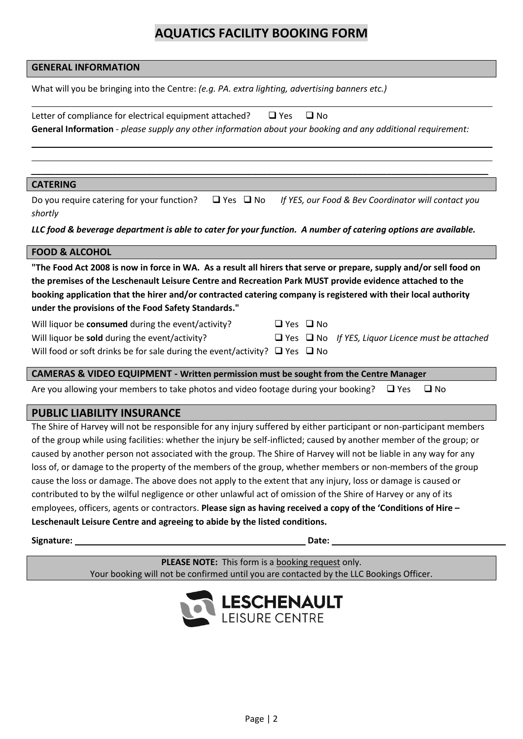### **AQUATICS FACILITY BOOKING FORM**

| <b>GENERAL INFORMATION</b>                                                                                                                                                                                                                                                                                                                                                                              |  |  |  |  |  |
|---------------------------------------------------------------------------------------------------------------------------------------------------------------------------------------------------------------------------------------------------------------------------------------------------------------------------------------------------------------------------------------------------------|--|--|--|--|--|
| What will you be bringing into the Centre: (e.g. PA. extra lighting, advertising banners etc.)                                                                                                                                                                                                                                                                                                          |  |  |  |  |  |
| Letter of compliance for electrical equipment attached?<br>$\square$ No<br>$\Box$ Yes                                                                                                                                                                                                                                                                                                                   |  |  |  |  |  |
| General Information - please supply any other information about your booking and any additional requirement:                                                                                                                                                                                                                                                                                            |  |  |  |  |  |
|                                                                                                                                                                                                                                                                                                                                                                                                         |  |  |  |  |  |
| <b>CATERING</b>                                                                                                                                                                                                                                                                                                                                                                                         |  |  |  |  |  |
| $\Box$ Yes $\Box$ No<br>Do you require catering for your function?<br>If YES, our Food & Bev Coordinator will contact you<br>shortly                                                                                                                                                                                                                                                                    |  |  |  |  |  |
| LLC food & beverage department is able to cater for your function. A number of catering options are available.                                                                                                                                                                                                                                                                                          |  |  |  |  |  |
| <b>FOOD &amp; ALCOHOL</b>                                                                                                                                                                                                                                                                                                                                                                               |  |  |  |  |  |
| "The Food Act 2008 is now in force in WA. As a result all hirers that serve or prepare, supply and/or sell food on<br>the premises of the Leschenault Leisure Centre and Recreation Park MUST provide evidence attached to the<br>booking application that the hirer and/or contracted catering company is registered with their local authority<br>under the provisions of the Food Safety Standards." |  |  |  |  |  |
|                                                                                                                                                                                                                                                                                                                                                                                                         |  |  |  |  |  |
| Will liquor be consumed during the event/activity?<br>$\Box$ Yes $\Box$ No                                                                                                                                                                                                                                                                                                                              |  |  |  |  |  |
| Will liquor be sold during the event/activity?<br>$\Box$ Yes $\Box$ No If YES, Liquor Licence must be attached                                                                                                                                                                                                                                                                                          |  |  |  |  |  |
| Will food or soft drinks be for sale during the event/activity? $\Box$ Yes $\Box$ No                                                                                                                                                                                                                                                                                                                    |  |  |  |  |  |
| <b>CAMERAS &amp; VIDEO EQUIPMENT - Written permission must be sought from the Centre Manager</b>                                                                                                                                                                                                                                                                                                        |  |  |  |  |  |
| Are you allowing your members to take photos and video footage during your booking?<br>$\square$ No<br>$\Box$ Yes                                                                                                                                                                                                                                                                                       |  |  |  |  |  |

### **PUBLIC LIABILITY INSURANCE**

The Shire of Harvey will not be responsible for any injury suffered by either participant or non-participant members of the group while using facilities: whether the injury be self-inflicted; caused by another member of the group; or caused by another person not associated with the group. The Shire of Harvey will not be liable in any way for any loss of, or damage to the property of the members of the group, whether members or non-members of the group cause the loss or damage. The above does not apply to the extent that any injury, loss or damage is caused or contributed to by the wilful negligence or other unlawful act of omission of the Shire of Harvey or any of its employees, officers, agents or contractors. **Please sign as having received a copy of the 'Conditions of Hire – Leschenault Leisure Centre and agreeing to abide by the listed conditions.**

**Signature:** Date: **Date: Date: Date: Date: Date: Date: Date: Date: Date: Date: Date: Date: Date: Date: Date: Date: Date: Date: Date: Date: Date: Date: Date: Date: Date: Da** 

**PLEASE NOTE:** This form is a booking request only. Your booking will not be confirmed until you are contacted by the LLC Bookings Officer.

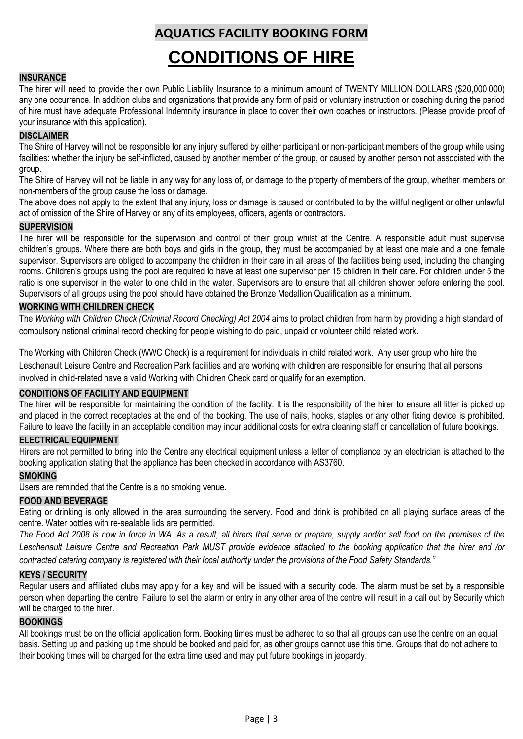## **AQUATICS FACILITY BOOKING FORM**

# **CONDITIONS OF HIRE**

#### **INSURANCE**

The hirer will need to provide their own Public Liability Insurance to a minimum amount of TWENTY MILLION DOLLARS (\$20,000,000) any one occurrence. In addition clubs and organizations that provide any form of paid or voluntary instruction or coaching during the period of hire must have adequate Professional Indemnity insurance in place to cover their own coaches or instructors. (Please provide proof of your insurance with this application).

#### **DISCLAIMER**

The Shire of Harvey will not be responsible for any injury suffered by either participant or non-participant members of the group while using facilities: whether the injury be self-inflicted, caused by another member of the group, or caused by another person not associated with the group.

The Shire of Harvey will not be liable in any way for any loss of, or damage to the property of members of the group, whether members or non-members of the group cause the loss or damage.

The above does not apply to the extent that any injury, loss or damage is caused or contributed to by the willful negligent or other unlawful act of omission of the Shire of Harvey or any of its employees, officers, agents or contractors.

#### **SUPERVISION**

The hirer will be responsible for the supervision and control of their group whilst at the Centre. A responsible adult must supervise children's groups. Where there are both boys and girls in the group, they must be accompanied by at least one male and a one female supervisor. Supervisors are obliged to accompany the children in their care in all areas of the facilities being used, including the changing rooms. Children's groups using the pool are required to have at least one supervisor per 15 children in their care. For children under 5 the ratio is one supervisor in the water to one child in the water. Supervisors are to ensure that all children shower before entering the pool. Supervisors of all groups using the pool should have obtained the Bronze Medallion Qualification as a minimum.

#### **WORKING WITH CHILDREN CHECK**

The *Working with Children Check (Criminal Record Checking) Act 2004* aims to protect children from harm by providing a high standard of compulsory national criminal record checking for people wishing to do paid, unpaid or volunteer child related work.

The Working with Children Check (WWC Check) is a requirement for individuals in child related work. Any user group who hire the Leschenault Leisure Centre and Recreation Park facilities and are working with children are responsible for ensuring that all persons involved in child-related have a valid Working with Children Check card or qualify for an exemption.

#### **CONDITIONS OF FACILITY AND EQUIPMENT**

The hirer will be responsible for maintaining the condition of the facility. It is the responsibility of the hirer to ensure all litter is picked up and placed in the correct receptacles at the end of the booking. The use of nails, hooks, staples or any other fixing device is prohibited. Failure to leave the facility in an acceptable condition may incur additional costs for extra cleaning staff or cancellation of future bookings.

#### **ELECTRICAL EQUIPMENT**

Hirers are not permitted to bring into the Centre any electrical equipment unless a letter of compliance by an electrician is attached to the booking application stating that the appliance has been checked in accordance with AS3760.

#### **SMOKING**

Users are reminded that the Centre is a no smoking venue.

#### **FOOD AND BEVERAGE**

Eating or drinking is only allowed in the area surrounding the servery. Food and drink is prohibited on all playing surface areas of the centre. Water bottles with re-sealable lids are permitted.

*The Food Act 2008 is now in force in WA. As a result, all hirers that serve or prepare, supply and/or sell food on the premises of the Leschenault Leisure Centre and Recreation Park MUST provide evidence attached to the booking application that the hirer and /or contracted catering company is registered with their local authority under the provisions of the Food Safety Standards."*

#### **KEYS / SECURITY**

Regular users and affiliated clubs may apply for a key and will be issued with a security code. The alarm must be set by a responsible person when departing the centre. Failure to set the alarm or entry in any other area of the centre will result in a call out by Security which will be charged to the hirer.

#### **BOOKINGS**

All bookings must be on the official application form. Booking times must be adhered to so that all groups can use the centre on an equal basis. Setting up and packing up time should be booked and paid for, as other groups cannot use this time. Groups that do not adhere to their booking times will be charged for the extra time used and may put future bookings in jeopardy.